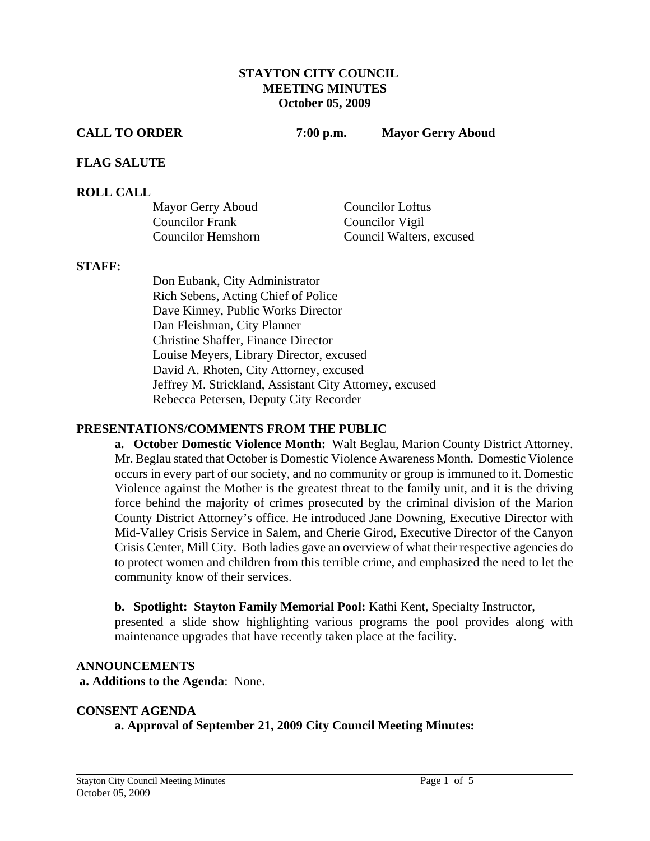#### **STAYTON CITY COUNCIL MEETING MINUTES October 05, 2009**

**CALL TO ORDER 7:00 p.m. Mayor Gerry Aboud** 

#### **FLAG SALUTE**

#### **ROLL CALL**

| Mayor Gerry Aboud      | <b>Councilor Loftus</b>  |
|------------------------|--------------------------|
| <b>Councilor Frank</b> | Councilor Vigil          |
| Councilor Hemshorn     | Council Walters, excused |

#### **STAFF:**

Don Eubank, City Administrator Rich Sebens, Acting Chief of Police Dave Kinney, Public Works Director Dan Fleishman, City Planner Christine Shaffer, Finance Director Louise Meyers, Library Director, excused David A. Rhoten, City Attorney, excused Jeffrey M. Strickland, Assistant City Attorney, excused Rebecca Petersen, Deputy City Recorder

#### **PRESENTATIONS/COMMENTS FROM THE PUBLIC**

**a. October Domestic Violence Month:** Walt Beglau, Marion County District Attorney. Mr. Beglau stated that October is Domestic Violence Awareness Month. Domestic Violence occurs in every part of our society, and no community or group is immuned to it. Domestic Violence against the Mother is the greatest threat to the family unit, and it is the driving force behind the majority of crimes prosecuted by the criminal division of the Marion County District Attorney's office. He introduced Jane Downing, Executive Director with Mid-Valley Crisis Service in Salem, and Cherie Girod, Executive Director of the Canyon Crisis Center, Mill City. Both ladies gave an overview of what their respective agencies do to protect women and children from this terrible crime, and emphasized the need to let the community know of their services.

**b. Spotlight: Stayton Family Memorial Pool:** Kathi Kent, Specialty Instructor,

presented a slide show highlighting various programs the pool provides along with maintenance upgrades that have recently taken place at the facility.

#### **ANNOUNCEMENTS**

 **a. Additions to the Agenda**: None.

#### **CONSENT AGENDA**

**a. Approval of September 21, 2009 City Council Meeting Minutes:**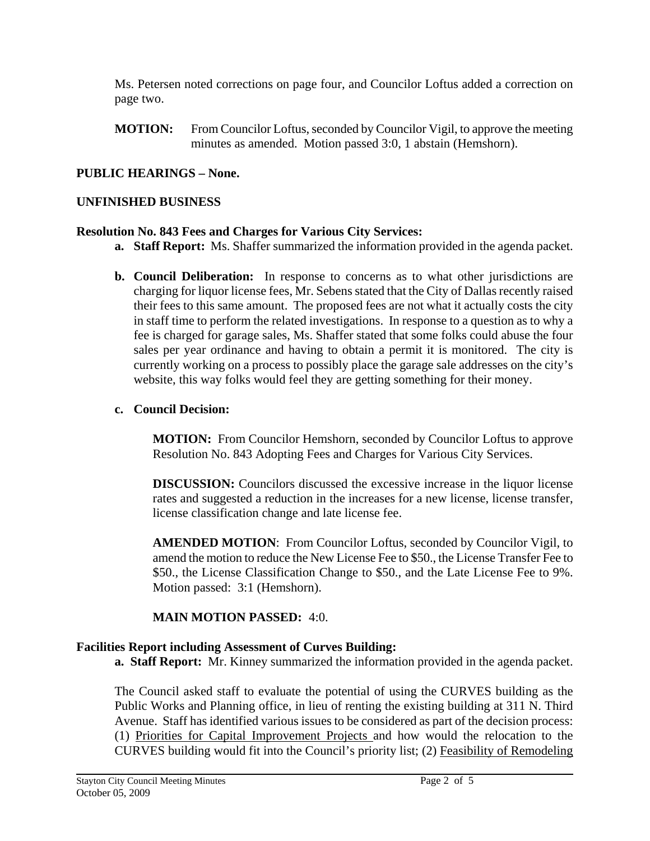Ms. Petersen noted corrections on page four, and Councilor Loftus added a correction on page two.

 **MOTION:** From Councilor Loftus, seconded by Councilor Vigil, to approve the meeting minutes as amended. Motion passed 3:0, 1 abstain (Hemshorn).

# **PUBLIC HEARINGS – None.**

## **UNFINISHED BUSINESS**

#### **Resolution No. 843 Fees and Charges for Various City Services:**

- **a. Staff Report:** Ms. Shaffer summarized the information provided in the agenda packet.
- **b. Council Deliberation:** In response to concerns as to what other jurisdictions are charging for liquor license fees, Mr. Sebens stated that the City of Dallas recently raised their fees to this same amount. The proposed fees are not what it actually costs the city in staff time to perform the related investigations. In response to a question as to why a fee is charged for garage sales, Ms. Shaffer stated that some folks could abuse the four sales per year ordinance and having to obtain a permit it is monitored. The city is currently working on a process to possibly place the garage sale addresses on the city's website, this way folks would feel they are getting something for their money.

### **c. Council Decision:**

**MOTION:** From Councilor Hemshorn, seconded by Councilor Loftus to approve Resolution No. 843 Adopting Fees and Charges for Various City Services.

**DISCUSSION:** Councilors discussed the excessive increase in the liquor license rates and suggested a reduction in the increases for a new license, license transfer, license classification change and late license fee.

**AMENDED MOTION**: From Councilor Loftus, seconded by Councilor Vigil, to amend the motion to reduce the New License Fee to \$50., the License Transfer Fee to \$50., the License Classification Change to \$50., and the Late License Fee to 9%. Motion passed: 3:1 (Hemshorn).

# **MAIN MOTION PASSED:** 4:0.

# **Facilities Report including Assessment of Curves Building:**

**a. Staff Report:** Mr. Kinney summarized the information provided in the agenda packet.

The Council asked staff to evaluate the potential of using the CURVES building as the Public Works and Planning office, in lieu of renting the existing building at 311 N. Third Avenue. Staff has identified various issues to be considered as part of the decision process: (1) Priorities for Capital Improvement Projects and how would the relocation to the CURVES building would fit into the Council's priority list; (2) Feasibility of Remodeling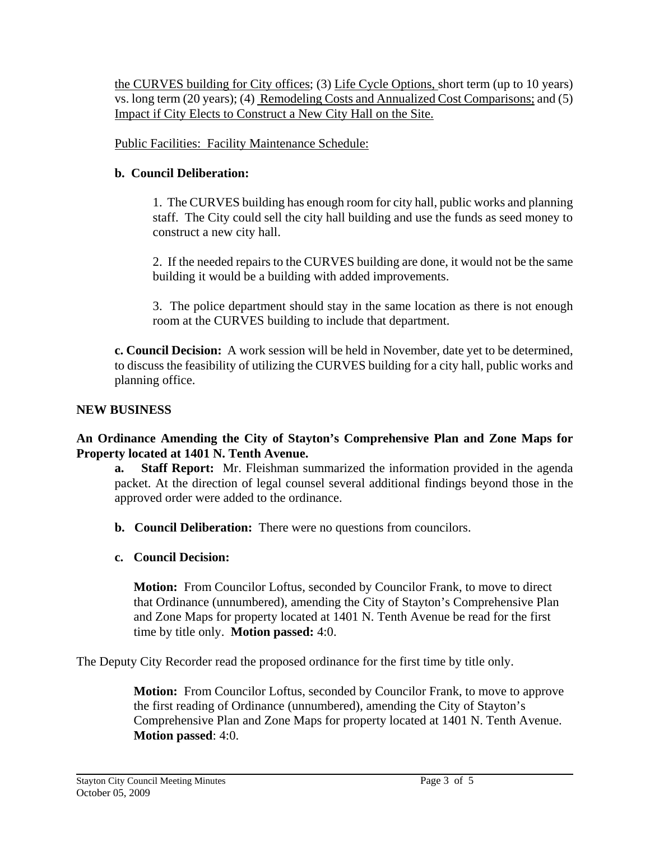the CURVES building for City offices; (3) Life Cycle Options, short term (up to 10 years) vs. long term (20 years); (4) Remodeling Costs and Annualized Cost Comparisons; and (5) Impact if City Elects to Construct a New City Hall on the Site.

Public Facilities: Facility Maintenance Schedule:

# **b. Council Deliberation:**

1. The CURVES building has enough room for city hall, public works and planning staff. The City could sell the city hall building and use the funds as seed money to construct a new city hall.

 2. If the needed repairs to the CURVES building are done, it would not be the same building it would be a building with added improvements.

 3. The police department should stay in the same location as there is not enough room at the CURVES building to include that department.

**c. Council Decision:** A work session will be held in November, date yet to be determined, to discuss the feasibility of utilizing the CURVES building for a city hall, public works and planning office.

# **NEW BUSINESS**

**An Ordinance Amending the City of Stayton's Comprehensive Plan and Zone Maps for Property located at 1401 N. Tenth Avenue.** 

**a. Staff Report:** Mr. Fleishman summarized the information provided in the agenda packet. At the direction of legal counsel several additional findings beyond those in the approved order were added to the ordinance.

**b. Council Deliberation:** There were no questions from councilors.

**c. Council Decision:** 

**Motion:** From Councilor Loftus, seconded by Councilor Frank, to move to direct that Ordinance (unnumbered), amending the City of Stayton's Comprehensive Plan and Zone Maps for property located at 1401 N. Tenth Avenue be read for the first time by title only. **Motion passed:** 4:0.

The Deputy City Recorder read the proposed ordinance for the first time by title only.

**Motion:** From Councilor Loftus, seconded by Councilor Frank, to move to approve the first reading of Ordinance (unnumbered), amending the City of Stayton's Comprehensive Plan and Zone Maps for property located at 1401 N. Tenth Avenue. **Motion passed**: 4:0.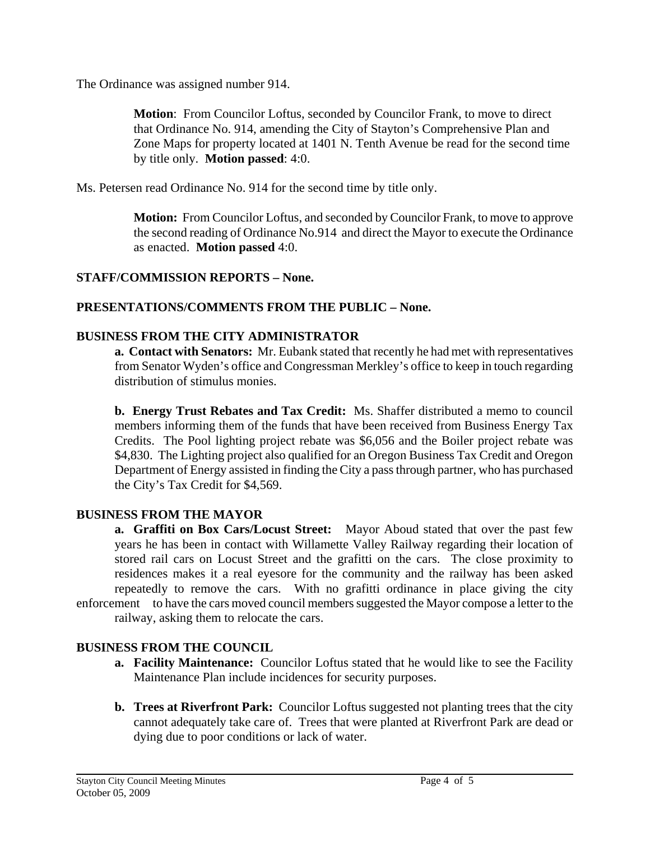The Ordinance was assigned number 914.

**Motion**: From Councilor Loftus, seconded by Councilor Frank, to move to direct that Ordinance No. 914, amending the City of Stayton's Comprehensive Plan and Zone Maps for property located at 1401 N. Tenth Avenue be read for the second time by title only. **Motion passed**: 4:0.

Ms. Petersen read Ordinance No. 914 for the second time by title only.

**Motion:** From Councilor Loftus, and seconded by Councilor Frank, to move to approve the second reading of Ordinance No.914 and direct the Mayor to execute the Ordinance as enacted. **Motion passed** 4:0.

# **STAFF/COMMISSION REPORTS – None.**

# **PRESENTATIONS/COMMENTS FROM THE PUBLIC – None.**

# **BUSINESS FROM THE CITY ADMINISTRATOR**

**a. Contact with Senators:** Mr. Eubank stated that recently he had met with representatives from Senator Wyden's office and Congressman Merkley's office to keep in touch regarding distribution of stimulus monies.

 **b. Energy Trust Rebates and Tax Credit:** Ms. Shaffer distributed a memo to council members informing them of the funds that have been received from Business Energy Tax Credits. The Pool lighting project rebate was \$6,056 and the Boiler project rebate was \$4,830. The Lighting project also qualified for an Oregon Business Tax Credit and Oregon Department of Energy assisted in finding the City a pass through partner, who has purchased the City's Tax Credit for \$4,569.

# **BUSINESS FROM THE MAYOR**

 **a. Graffiti on Box Cars/Locust Street:** Mayor Aboud stated that over the past few years he has been in contact with Willamette Valley Railway regarding their location of stored rail cars on Locust Street and the grafitti on the cars. The close proximity to residences makes it a real eyesore for the community and the railway has been asked repeatedly to remove the cars. With no grafitti ordinance in place giving the city enforcement to have the cars moved council members suggested the Mayor compose a letter to the railway, asking them to relocate the cars.

# **BUSINESS FROM THE COUNCIL**

- **a. Facility Maintenance:** Councilor Loftus stated that he would like to see the Facility Maintenance Plan include incidences for security purposes.
- **b. Trees at Riverfront Park:** Councilor Loftus suggested not planting trees that the city cannot adequately take care of. Trees that were planted at Riverfront Park are dead or dying due to poor conditions or lack of water.